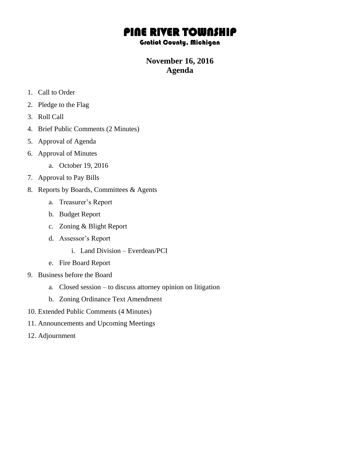# PINE RIVER TOWNSHIP

#### Gratiot County, Michigan

### **November 16, 2016 Agenda**

- 1. Call to Order
- 2. Pledge to the Flag
- 3. Roll Call
- 4. Brief Public Comments (2 Minutes)
- 5. Approval of Agenda
- 6. Approval of Minutes
	- a. October 19, 2016
- 7. Approval to Pay Bills
- 8. Reports by Boards, Committees & Agents
	- a. Treasurer's Report
	- b. Budget Report
	- c. Zoning & Blight Report
	- d. Assessor's Report
		- i. Land Division Everdean/PCI
	- e. Fire Board Report
- 9. Business before the Board
	- a. Closed session to discuss attorney opinion on litigation
	- b. Zoning Ordinance Text Amendment
- 10. Extended Public Comments (4 Minutes)
- 11. Announcements and Upcoming Meetings
- 12. Adjournment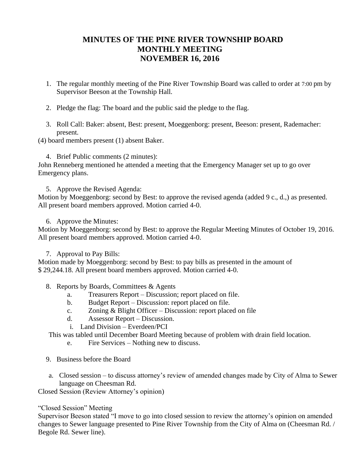# **MINUTES OF THE PINE RIVER TOWNSHIP BOARD MONTHLY MEETING NOVEMBER 16, 2016**

- 1. The regular monthly meeting of the Pine River Township Board was called to order at 7:00 pm by Supervisor Beeson at the Township Hall.
- 2. Pledge the flag: The board and the public said the pledge to the flag.
- 3. Roll Call: Baker: absent, Best: present, Moeggenborg: present, Beeson: present, Rademacher: present.

(4) board members present (1) absent Baker.

4. Brief Public comments (2 minutes):

John Renneberg mentioned he attended a meeting that the Emergency Manager set up to go over Emergency plans.

5. Approve the Revised Agenda:

Motion by Moeggenborg: second by Best: to approve the revised agenda (added 9 c., d.,) as presented. All present board members approved. Motion carried 4-0.

6. Approve the Minutes:

Motion by Moeggenborg: second by Best: to approve the Regular Meeting Minutes of October 19, 2016. All present board members approved. Motion carried 4-0.

7. Approval to Pay Bills:

Motion made by Moeggenborg: second by Best: to pay bills as presented in the amount of \$ 29,244.18. All present board members approved. Motion carried 4-0.

- 8. Reports by Boards, Committees & Agents
	- a. Treasurers Report Discussion; report placed on file.
	- b. Budget Report Discussion: report placed on file.
	- c. Zoning & Blight Officer Discussion: report placed on file
	- d. Assessor Report Discussion.
	- i. Land Division Everdeen/PCI

This was tabled until December Board Meeting because of problem with drain field location.

- e. Fire Services Nothing new to discuss.
- 9. Business before the Board
- a. Closed session to discuss attorney's review of amended changes made by City of Alma to Sewer language on Cheesman Rd.

Closed Session (Review Attorney's opinion)

#### "Closed Session" Meeting

Supervisor Beeson stated "I move to go into closed session to review the attorney's opinion on amended changes to Sewer language presented to Pine River Township from the City of Alma on (Cheesman Rd. / Begole Rd. Sewer line).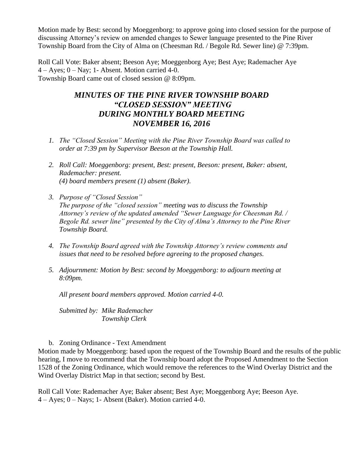Motion made by Best: second by Moeggenborg: to approve going into closed session for the purpose of discussing Attorney's review on amended changes to Sewer language presented to the Pine River Township Board from the City of Alma on (Cheesman Rd. / Begole Rd. Sewer line) @ 7:39pm.

Roll Call Vote: Baker absent; Beeson Aye; Moeggenborg Aye; Best Aye; Rademacher Aye  $4 - Ayes$ ;  $0 - Nay$ ; 1- Absent. Motion carried 4-0. Township Board came out of closed session @ 8:09pm.

# *MINUTES OF THE PINE RIVER TOWNSHIP BOARD "CLOSED SESSION" MEETING DURING MONTHLY BOARD MEETING NOVEMBER 16, 2016*

- *1. The "Closed Session" Meeting with the Pine River Township Board was called to order at 7:39 pm by Supervisor Beeson at the Township Hall.*
- *2. Roll Call: Moeggenborg: present, Best: present, Beeson: present, Baker: absent, Rademacher: present. (4) board members present (1) absent (Baker).*
- *3. Purpose of "Closed Session" The purpose of the "closed session" meeting was to discuss the Township Attorney's review of the updated amended "Sewer Language for Cheesman Rd. / Begole Rd. sewer line" presented by the City of Alma's Attorney to the Pine River Township Board.*
- *4. The Township Board agreed with the Township Attorney's review comments and issues that need to be resolved before agreeing to the proposed changes.*
- *5. Adjournment: Motion by Best: second by Moeggenborg: to adjourn meeting at 8:09pm.*

*All present board members approved. Motion carried 4-0.*

*Submitted by: Mike Rademacher Township Clerk*

#### b. Zoning Ordinance - Text Amendment

Motion made by Moeggenborg: based upon the request of the Township Board and the results of the public hearing, I move to recommend that the Township board adopt the Proposed Amendment to the Section 1528 of the Zoning Ordinance, which would remove the references to the Wind Overlay District and the Wind Overlay District Map in that section; second by Best.

Roll Call Vote: Rademacher Aye; Baker absent; Best Aye; Moeggenborg Aye; Beeson Aye. 4 – Ayes; 0 – Nays; 1- Absent (Baker). Motion carried 4-0.